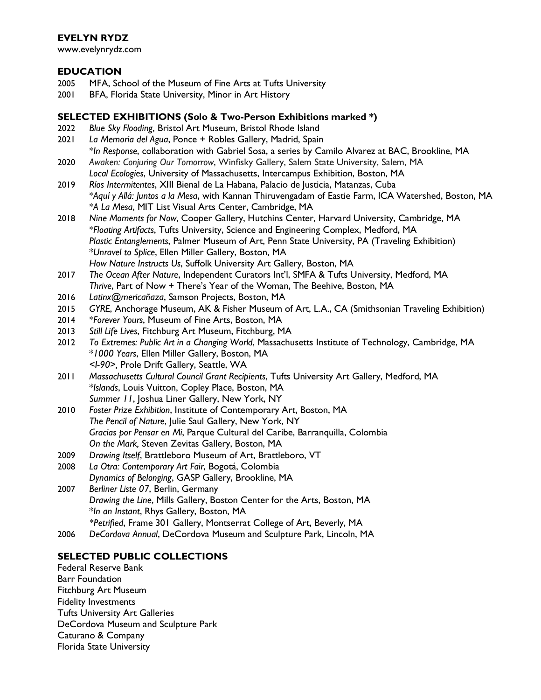# **EVELYN RYDZ**

www.evelynrydz.com

## **EDUCATION**

- 2005 MFA, School of the Museum of Fine Arts at Tufts University
- 2001 BFA, Florida State University, Minor in Art History

# **SELECTED EXHIBITIONS (Solo & Two-Person Exhibitions marked \*)**

- 2022 *Blue Sky Flooding*, Bristol Art Museum, Bristol Rhode Island
- 2021 *La Memoria del Agua*, Ponce + Robles Gallery, Madrid, Spain \**In Response*, collaboration with Gabriel Sosa, a series by Camilo Alvarez at BAC, Brookline, MA
- 2020 *Awaken: Conjuring Our Tomorrow*, Winfisky Gallery, Salem State University, Salem, MA *Local Ecologies*, University of Massachusetts, Intercampus Exhibition, Boston, MA
- 2019 *Ríos Intermitentes*, XIII Bienal de La Habana, Palacio de Justicia, Matanzas, Cuba \**Aquí y Allá: Juntos a la Mesa*, with Kannan Thiruvengadam of Eastie Farm, ICA Watershed, Boston, MA \**A La Mesa*, MIT List Visual Arts Center, Cambridge, MA
- 2018 *Nine Moments for Now*, Cooper Gallery, Hutchins Center, Harvard University, Cambridge, MA \**Floating Artifacts*, Tufts University, Science and Engineering Complex, Medford, MA *Plastic Entanglements*, Palmer Museum of Art, Penn State University, PA (Traveling Exhibition) \**Unravel to Splice*, Ellen Miller Gallery, Boston, MA *How Nature Instructs Us*, Suffolk University Art Gallery, Boston, MA
- 2017 *The Ocean After Nature*, Independent Curators Int'l, SMFA & Tufts University, Medford, MA *Thrive*, Part of Now + There's Year of the Woman, The Beehive, Boston, MA
- 2016 *Latinx@mericañaza*, Samson Projects, Boston, MA
- 2015 *GYRE*, Anchorage Museum, AK & Fisher Museum of Art, L.A., CA (Smithsonian Traveling Exhibition)
- 2014 \**Forever Yours*, Museum of Fine Arts, Boston, MA
- 2013 *Still Life Lives*, Fitchburg Art Museum, Fitchburg, MA
- 2012 *To Extremes: Public Art in a Changing World*, Massachusetts Institute of Technology, Cambridge, MA \**1000 Years*, Ellen Miller Gallery, Boston, MA *<I-90>,* Prole Drift Gallery, Seattle, WA
- 2011 *Massachusetts Cultural Council Grant Recipients*, Tufts University Art Gallery, Medford, MA \**Islands*, Louis Vuitton, Copley Place, Boston, MA *Summer 11*, Joshua Liner Gallery, New York, NY
- 2010 *Foster Prize Exhibition*, Institute of Contemporary Art, Boston, MA *The Pencil of Nature*, Julie Saul Gallery, New York, NY *Gracias por Pensar en Mi*, Parque Cultural del Caribe, Barranquilla, Colombia *On the Mark,* Steven Zevitas Gallery, Boston, MA
- 2009 *Drawing Itself*, Brattleboro Museum of Art, Brattleboro, VT
- 2008 *La Otra: Contemporary Art Fair*, Bogotá, Colombia *Dynamics of Belonging*, GASP Gallery, Brookline, MA
- 2007 *Berliner Liste 07*, Berlin, Germany *Drawing the Line*, Mills Gallery, Boston Center for the Arts, Boston, MA \**In an Instant*, Rhys Gallery, Boston, MA *\*Petrified*, Frame 301 Gallery, Montserrat College of Art, Beverly, MA
- 2006 *DeCordova Annual*, DeCordova Museum and Sculpture Park, Lincoln, MA

# **SELECTED PUBLIC COLLECTIONS**

Federal Reserve Bank Barr Foundation Fitchburg Art Museum Fidelity Investments Tufts University Art Galleries DeCordova Museum and Sculpture Park Caturano & Company Florida State University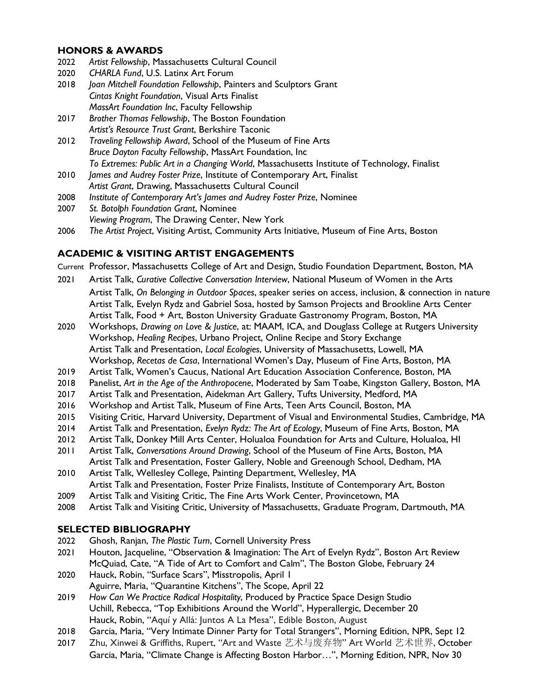# **HONORS & AWARDS**

- 2022 *Artist Fellowship*, Massachusetts Cultural Council
- 2020 *CHARLA Fund*, U.S. Latinx Art Forum
- 2018 *Joan Mitchell Foundation Fellowship*, Painters and Sculptors Grant *Cintas Knight Foundation*, Visual Arts Finalist *MassArt Foundation Inc*, Faculty Fellowship
- 2017 *Brother Thomas Fellowship*, The Boston Foundation *Artist's Resource Trust Grant*, Berkshire Taconic
- 2012 *Traveling Fellowship Award*, School of the Museum of Fine Arts *Bruce Dayton Faculty Fellowship*, MassArt Foundation, Inc *To Extremes: Public Art in a Changing World*, Massachusetts Institute of Technology, Finalist
- 2010 *James and Audrey Foster Prize*, Institute of Contemporary Art, Finalist *Artist Grant*, Drawing, Massachusetts Cultural Council
- 2008 *Institute of Contemporary Art's James and Audrey Foster Prize*, Nominee
- 2007 *St. Botolph Foundation Grant*, Nominee *Viewing Program*, The Drawing Center, New York
- 2006 *The Artist Project*, Visiting Artist, Community Arts Initiative, Museum of Fine Arts, Boston

# **ACADEMIC & VISITING ARTIST ENGAGEMENTS**

Current Professor, Massachusetts College of Art and Design, Studio Foundation Department, Boston, MA

- 2021 Artist Talk, *Curative Collective Conversation Interview*, National Museum of Women in the Arts Artist Talk, *On Belonging in Outdoor Spaces*, speaker series on access, inclusion, & connection in nature Artist Talk, Evelyn Rydz and Gabriel Sosa, hosted by Samson Projects and Brookline Arts Center Artist Talk, Food + Art, Boston University Graduate Gastronomy Program, Boston, MA
- 2020 Workshops, *Drawing on Love & Justice*, at: MAAM, ICA, and Douglass College at Rutgers University Workshop, *Healing Recipes*, Urbano Project, Online Recipe and Story Exchange Artist Talk and Presentation, *Local Ecologies*, University of Massachusetts, Lowell, MA Workshop, *Recetas de Casa*, International Women's Day, Museum of Fine Arts, Boston, MA
- 2019 Artist Talk, Women's Caucus, National Art Education Association Conference, Boston, MA
- 2018 Panelist, *Art in the Age of the Anthropocene*, Moderated by Sam Toabe, Kingston Gallery, Boston, MA
- 2017 Artist Talk and Presentation, Aidekman Art Gallery, Tufts University, Medford, MA
- 2016 Workshop and Artist Talk, Museum of Fine Arts, Teen Arts Council, Boston, MA
- 2015 Visiting Critic, Harvard University, Department of Visual and Environmental Studies, Cambridge, MA
- 2014 Artist Talk and Presentation, *Evelyn Rydz: The Art of Ecology*, Museum of Fine Arts, Boston, MA
- 2012 Artist Talk, Donkey Mill Arts Center, Holualoa Foundation for Arts and Culture, Holualoa, HI
- 2011 Artist Talk, *Conversations Around Drawing*, School of the Museum of Fine Arts, Boston, MA Artist Talk and Presentation, Foster Gallery, Noble and Greenough School, Dedham, MA
- 2010 Artist Talk, Wellesley College, Painting Department, Wellesley, MA Artist Talk and Presentation, Foster Prize Finalists, Institute of Contemporary Art, Boston
- 2009 Artist Talk and Visiting Critic, The Fine Arts Work Center, Provincetown, MA
- 2008 Artist Talk and Visiting Critic, University of Massachusetts, Graduate Program, Dartmouth, MA

## **SELECTED BIBLIOGRAPHY**

- 2022 Ghosh, Ranjan, *The Plastic Turn*, Cornell University Press
- 2021 Houton, Jacqueline, "Observation & Imagination: The Art of Evelyn Rydz", Boston Art Review McQuiad, Cate, "A Tide of Art to Comfort and Calm", The Boston Globe, February 24
- 2020 Hauck, Robin, "Surface Scars", Misstropolis, April 1 Aguirre, Maria, "Quarantine Kitchens", The Scope, April 22
- 2019 *How Can We Practice Radical Hospitality*, Produced by Practice Space Design Studio Uchill, Rebecca, "Top Exhibitions Around the World", Hyperallergic, December 20 Hauck, Robin, "Aquí y Allá: Juntos A La Mesa", Edible Boston, August
- 2018 Garcia, Maria, "Very Intimate Dinner Party for Total Strangers", Morning Edition, NPR, Sept 12
- 2017 Zhu, Xinwei & Griffiths, Rupert, "Art and Waste 艺术与废弃物" Art World 艺术世界, October Garcia, Maria, "Climate Change is Affecting Boston Harbor…", Morning Edition, NPR, Nov 30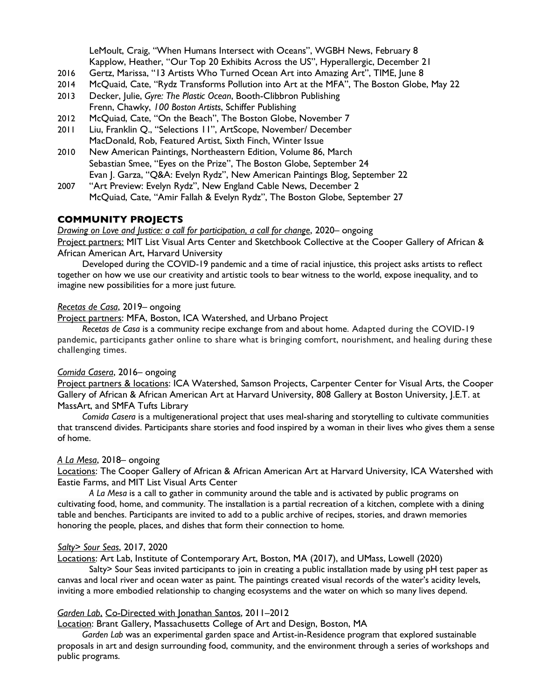LeMoult, Craig, "When Humans Intersect with Oceans", WGBH News, February 8 Kapplow, Heather, "Our Top 20 Exhibits Across the US", Hyperallergic, December 21

- 2016 Gertz, Marissa, "13 Artists Who Turned Ocean Art into Amazing Art", TIME, June 8
- 2014 McQuaid, Cate, "Rydz Transforms Pollution into Art at the MFA", The Boston Globe, May 22
- 2013 Decker, Julie, *Gyre: The Plastic Ocean*, Booth-Clibbron Publishing Frenn, Chawky, *100 Boston Artists*, Schiffer Publishing
- 2012 McQuiad, Cate, "On the Beach", The Boston Globe, November 7
- 2011 Liu, Franklin Q., "Selections 11", ArtScope, November/ December MacDonald, Rob, Featured Artist, Sixth Finch, Winter Issue
- 2010 New American Paintings, Northeastern Edition, Volume 86, March Sebastian Smee, "Eyes on the Prize", The Boston Globe, September 24 Evan J. Garza, "Q&A: Evelyn Rydz", New American Paintings Blog, September 22
- 2007 "Art Preview: Evelyn Rydz", New England Cable News, December 2 McQuiad, Cate, "Amir Fallah & Evelyn Rydz", The Boston Globe, September 27

## **COMMUNITY PROJECTS**

*Drawing on Love and Justice: a call for participation, a call for change*, 2020– ongoing

Project partners: MIT List Visual Arts Center and Sketchbook Collective at the Cooper Gallery of African & African American Art, Harvard University

Developed during the COVID-19 pandemic and a time of racial injustice, this project asks artists to reflect together on how we use our creativity and artistic tools to bear witness to the world, expose inequality, and to imagine new possibilities for a more just future.

#### *Recetas de Casa*, 2019– ongoing

Project partners: MFA, Boston, ICA Watershed, and Urbano Project

*Recetas de Casa* is a community recipe exchange from and about home. Adapted during the COVID-19 pandemic, participants gather online to share what is bringing comfort, nourishment, and healing during these challenging times.

#### *Comida Casera*, 2016– ongoing

Project partners & locations: ICA Watershed, Samson Projects, Carpenter Center for Visual Arts, the Cooper Gallery of African & African American Art at Harvard University, 808 Gallery at Boston University, J.E.T. at MassArt, and SMFA Tufts Library

*Comida Casera* is a multigenerational project that uses meal-sharing and storytelling to cultivate communities that transcend divides. Participants share stories and food inspired by a woman in their lives who gives them a sense of home.

## *A La Mesa*, 2018– ongoing

Locations: The Cooper Gallery of African & African American Art at Harvard University, ICA Watershed with Eastie Farms, and MIT List Visual Arts Center

*A La Mesa* is a call to gather in community around the table and is activated by public programs on cultivating food, home, and community. The installation is a partial recreation of a kitchen, complete with a dining table and benches. Participants are invited to add to a public archive of recipes, stories, and drawn memories honoring the people, places, and dishes that form their connection to home.

#### *Salty> Sour Seas*, 2017, 2020

Locations: Art Lab, Institute of Contemporary Art, Boston, MA (2017), and UMass, Lowell (2020)

Salty> Sour Seas invited participants to join in creating a public installation made by using pH test paper as canvas and local river and ocean water as paint. The paintings created visual records of the water's acidity levels, inviting a more embodied relationship to changing ecosystems and the water on which so many lives depend.

#### *Garden Lab*, Co-Directed with Jonathan Santos, 2011–2012

Location: Brant Gallery, Massachusetts College of Art and Design, Boston, MA

*Garden Lab* was an experimental garden space and Artist-in-Residence program that explored sustainable proposals in art and design surrounding food, community, and the environment through a series of workshops and public programs.